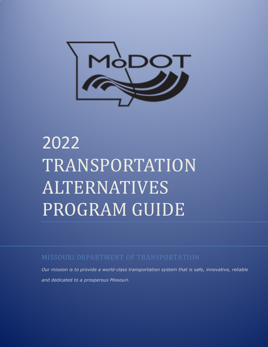

# 2022 TRANSPORTATION ALTERNATIVES PROGRAM GUIDE

MISSOURI DEPARTMENT OF TRANSPORTATION

*Our mission is to provide a world-class transportation system that is safe, innovative, reliable and dedicated to a prosperous Missouri.*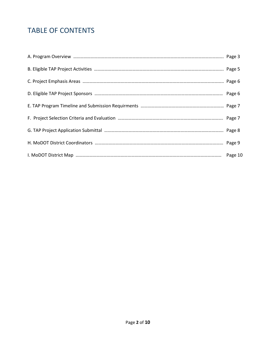# TABLE OF CONTENTS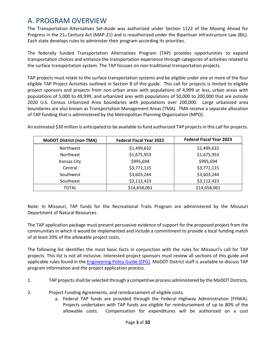## A. PROGRAM OVERVIEW

The Transportation Alternatives Set-Aside was authorized under Section 1122 of the Moving Ahead for Progress in the  $21_{st}$  Century Act (MAP-21) and is reauthorized under the Bipartisan Infrastructure Law (BIL). Each state develops rules to administer their program according its priorities.

The federally funded Transportation Alternatives Program (TAP) provides opportunities to expand transportation choices and enhance the transportation experience through categories of activities related to the surface transportation system. The TAP focuses on non-traditional transportation projects.

TAP projects must relate to the surface transportation systems and be eligible under one or more of the four eligible TAP Project Activities outlined in Section B of this guide. This call for projects is limited to eligible project sponsors and projects from non-urban areas with populations of 4,999 or less, urban areas with populations of 5,000 to 49,999, and urbanized ares with populations of 50,000 to 200,000 that are outside 2020 U.S. Census Urbanized Area boundaries with populations over 200,000. Large urbanized area boundaries are also known as Transportation Management Areas (TMA). TMA receive a separate allocation of TAP funding that is administered by the Metropolitan Planning Organization (MPO).

| <b>MoDOT District (non-TMA)</b> | <b>Federal Fiscal Year 2022</b> | <b>Federal Fiscal Year 2023</b> |
|---------------------------------|---------------------------------|---------------------------------|
| Northwest                       | \$1,499,632                     | \$1,499,632                     |
| <b>Northeast</b>                | \$1,675,953                     | \$1,675,953                     |
| <b>Kansas City</b>              | \$995,694                       | \$995,694                       |
| Central                         | \$3,771,115                     | \$3,771,115                     |
| Southwest                       | \$3,603,244                     | \$3,603,244                     |
| Southeast                       | \$3,112,423                     | \$3,112,423                     |
| TOTAL                           | \$14,658,061                    | \$14,658,061                    |

An estimated \$30 million is anticipated to be available to fund authorized TAP projects in this call for projects.

Note: In Missouri, TAP funds for the Recreational Trails Program are administered by the Missouri Department of Natural Resources.

The TAP application package must present persuasive evidence of support for the proposed project from the communities in which it would be implemented and include a commitment to provide a local funding match of at least 20% of the allowable project costs.

The following list identifies the most basic facts in conjunction with the rules for Missouri's call for TAP projects. This list is not all inclusive. Interested project sponsors must review all sections of this guide and applicable rules found in th[e Engineering Policy Guide \(EPG\).](http://epg.modot.org/index.php/LPA:136_Local_Public_Agency_(LPA)_Policy) MoDOT District staff is available to discuss TAP program information and the project application process.

- 1. TAP projects shall be selected through a competitive process administered by the MoDOT Districts.
- 2. Project Funding Agreements, and reimbursement of eligible costs.
	- a. Federal TAP funds are provided through the Federal Highway Administration (FHWA). Projects undertaken with TAP funds are eligible for reimbursement of up to 80% of the allowable costs. Compensation for expenditures will be authorized on a cost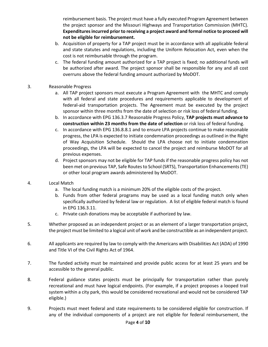reimbursement basis. The project must have a fully executed Program Agreement between the project sponsor and the Missouri Highways and Transportation Commission (MHTC). **Expendituresincurred prior to receiving a project award and formal notice to proceed will not be eligible for reimbursement.** 

- b. Acquisition of property for a TAP project must be in accordance with all applicable federal and state statutes and regulations, including the Uniform Relocation Act, even when the cost is not reimbursable through the program.
- c. The federal funding amount authorized for a TAP project is fixed; no additional funds will be authorized after award. The project sponsor shall be responsible for any and all cost overruns above the federal funding amount authorized by MoDOT.

#### 3. Reasonable Progress

- a. All TAP project sponsors must execute a Program Agreement with the MHTC and comply with all federal and state procedures and requirements applicable to development of federal-aid transportation projects. The Agreement must be executed by the project sponsor within three months from the date of selection or risk loss of federal funding.
- b. In accordance with EPG 136.3.7 Reasonable Progress Policy, **TAP projects must advance to construction within 23 months from the date of selection** or risk loss of federal funding.
- c. In accordance with EPG 136.8.8.1 and to ensure LPA projects continue to make reasonable progress, the LPA is expected to initiate condemnation proceedings as outlined in the Right of Way Acquisition Schedule. Should the LPA choose not to initiate condemnation proceedings, the LPA will be expected to cancel the project and reimburse MoDOT for all previous expenses.
- d. Project sponsors may not be eligible for TAP funds if the reasonable progress policy has not been met on previous TAP, Safe Routes to School (SRTS), Transportation Enhancements (TE) or other local program awards administered by MoDOT.

#### 4. Local Match

- a. The local funding match is a minimum 20% of the eligible costs of the project.
- b. Funds from other federal programs may be used as a local funding match only when specifically authorized by federal law or regulation. A list of eligible federal match is found in EPG 136.3.11.
- c. Private cash donations may be acceptable if authorized by law.
- 5. Whether proposed as an independent project or as an element of a larger transportation project, the project must be limited to a logical unit of work and be constructible as an independent project.
- 6. All applicants are required by law to comply with the Americans with Disabilities Act (ADA) of 1990 and Title VI of the Civil Rights Act of 1964.
- 7. The funded activity must be maintained and provide public access for at least 25 years and be accessible to the general public.
- 8. Federal guidance states projects must be principally for transportation rather than purely recreational and must have logical endpoints. (For example, if a project proposes a looped trail system within a city park, this would be considered recreational and would not be considered TAP eligible.)
- 9. Projects must meet federal and state requirements to be considered eligible for construction. If any of the individual components of a project are not eligible for federal reimbursement, the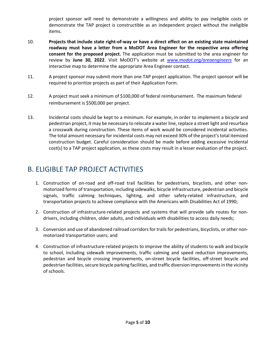project sponsor will need to demonstrate a willingness and ability to pay ineligible costs or demonstrate the TAP project is constructible as an independent project without the ineligible items.

- 10. **Projects that include state right-of-way or have a direct effect on an existing state maintained roadway must have a letter from a MoDOT Area Engineer for the respective area offering consent for the proposed project.** The application must be submitted to the area engineer for review by **June 30, 2022**. Visit MoDOT's website at *[www.modot.org/areaengineers](http://www.modot.org/areaengineers/)* for an interactive map to determine the appropriate Area Engineer contact.
- 11. A project sponsor may submit more than one TAP project application. The project sponsor will be required to prioritize projects as part of their Application Form.
- 12. A project must seek a minimum of \$100,000 of federal reimbursement. The maximum federal reimbursement is \$500,000 per project.
- 13. Incidental costs should be kept to a minimum. For example, in order to implement a bicycle and pedestrian project, it may be necessary to relocate a water line, replace a street light and resurface a crosswalk during construction. These items of work would be considered incidental activities. The total amount necessary for incidental costs may not exceed 30% of the project's total itemized construction budget. Careful consideration should be made before adding excessive incidental cost(s) to a TAP project application, as these costs may result in a lesser evaluation of the project.

## B. ELIGIBLE TAP PROJECT ACTIVITIES

- 1. Construction of on-road and off-road trail facilities for pedestrians, bicyclists, and other nonmotorized forms of transportation, including sidewalks, bicycle infrastructure, pedestrian and bicycle signals, traffic calming techniques, lighting, and other safety-related infrastructure, and transportation projects to achieve compliance with the Americans with Disabilities Act of 1990;
- 2. Construction of infrastructure-related projects and systems that will provide safe routes for nondrivers, including children, older adults, and individuals with disabilities to access daily needs;
- 3. Conversion and use of abandoned railroad corridors for trails for pedestrians, bicyclists, or other nonmotorized transportation users; and
- 4. Construction of infrastructure-related projects to improve the ability of students to walk and bicycle to school, including sidewalk improvements, traffic calming and speed reduction improvements, pedestrian and bicycle crossing improvements, on-street bicycle facilities, off-street bicycle and pedestrian facilities, secure bicycle parking facilities, and traffic diversion improvements in the vicinity of schools.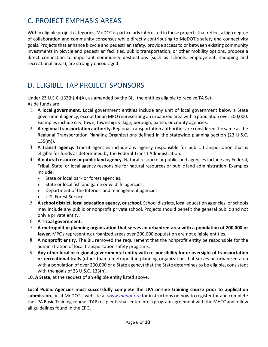# C. PROJECT EMPHASIS AREAS

Within eligible project categories, MoDOT is particularly interested in those projects that reflect a high degree of collaboration and community consensus while directly contributing to MoDOT's safety and connectivity goals. Projects that enhance bicycle and pedestrian safety, provide access to or between existing community investments in bicycle and pedestrian facilities, public transportation, or other mobility options, propose a direct connection to important community destinations (such as schools, employment, shopping and recreational areas), are strongly encouraged.

# D. ELIGIBLE TAP PROJECT SPONSORS

Under 23 U.S.C. 133(h)(4)(A), as amended by the BIL, the entities eligible to receive TA Set-Aside funds are:

- 1. **A local government.** Local government entities include any unit of local government below a State government agency, except for an MPO representing an urbanized area with a population over 200,000. Examples include city, town, township, village, borough, parish, or county agencies.
- 2. **A regional transportation authority.** Regional transportation authorities are considered the same as the Regional Transportation Planning Organizations defined in the statewide planning section (23 U.S.C. 135(m)).
- 3. **A transit agency.** Transit agencies include any agency responsible for public transportation that is eligible for funds as determined by the Federal Transit Administration.
- 4. **A natural resource or public land agency.** Natural resource or public land agencies include any Federal, Tribal, State, or local agency responsible for natural resources or public land administration. Examples include:
	- State or local park or forest agencies.
	- State or local fish and game or wildlife agencies.
	- Department of the Interior land management agencies.
	- U.S. Forest Service.
- 5. **A school district, local education agency, or school.** School districts, local education agencies, or schools may include any public or nonprofit private school. Projects should benefit the general public and not only a private entity.
- 6. **A Tribal government.**
- 7. **A metropolitan planning organization that serves an urbanized area with a population of 200,000 or fewer**. MPOs representing urbanized areas over 200,000 population are not eligible entities.
- 8. **A nonprofit entity.** The BIL removed the requirement that the nonprofit entity be responsible for the administration of local transportation safety programs.
- 9. **Any other local or regional governmental entity with responsibility for or oversight of transportation or recreational trails** (other than a metropolitan planning organization that serves an urbanized area with a population of over 200,000 or a State agency) that the State determines to be eligible, consistent with the goals of 23 U.S.C. 133(h).
- 10. **A State,** at the request of an eligible entity listed above.

**Local Public Agencies must successfully complete the LPA on-line training course prior to application submission.** Visit MoDOT's website at *[www.modot.org](https://www.modot.org/training-opportunities)* for instructions on how to register for and complete the LPA Basic Training course. TAP recipients shall enter into a program agreement with the MHTC and follow all guidelines found in the EPG.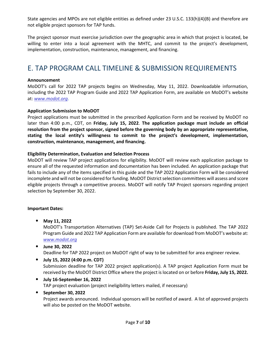State agencies and MPOs are not eligible entities as defined under 23 U.S.C. 133(h)(4)(B) and therefore are not eligible project sponsors for TAP funds.

The project sponsor must exercise jurisdiction over the geographic area in which that project is located, be willing to enter into a local agreement with the MHTC, and commit to the project's development, implementation, construction, maintenance, management, and financing.

## E. TAP PROGRAM CALL TIMELINE & SUBMISSION REQUIREMENTS

#### **Announcement**

MoDOT's call for 2022 TAP projects begins on Wednesday, May 11, 2022. Downloadable information, including the 2022 TAP Program Guide and 2022 TAP Application Form, are available on MoDOT's website at: *[www.modot.org](https://www.modot.org/local-public-agency)*.

#### **Application Submission to MoDOT**

Project applications must be submitted in the prescribed Application Form and be received by MoDOT no later than 4:00 p.m., CDT, on **Friday, July 15, 2022**. **The application package must include an official resolution from the project sponsor, signed before the governing body by an appropriate representative, stating the local entity's willingness to commit to the project's development, implementation, construction, maintenance, management, and financing.** 

#### **Eligibility Determination, Evaluation and Selection Process**

MoDOT will review TAP project applications for eligibility. MoDOT will review each application package to ensure all of the requested information and documentation has been included. An application package that fails to include any of the items specified in this guide and the TAP 2022 Application Form will be considered incomplete and will not be considered for funding. MoDOT District selection committees will assess and score eligible projects through a competitive process. MoDOT will notify TAP Project sponsors regarding project selection by September 30, 2022.

#### **Important Dates:**

• **May 11, 2022**

MoDOT's Transportation Alternatives (TAP) Set-Aside Call for Projects is published. The TAP 2022 Program Guide and 2022 TAP Application Form are available for download from MoDOT's website at: *[www.modot.org](https://www.modot.org/local-public-agency)*

- **June 30, 2022** Deadline for TAP 2022 project on MoDOT right of way to be submitted for area engineer review.
- **July 15, 2022 (4:00 p.m. CDT)** Submission deadline for TAP 2022 project application(s). A TAP project Application Form must be received by the MoDOT District Office where the project is located on or before **Friday, July 15, 2022.**
- **July 16-September 16, 2022** TAP project evaluation (project ineligibility letters mailed, if necessary)

#### • **September 30, 2022**

Project awards announced. Individual sponsors will be notified of award. A list of approved projects will also be posted on the MoDOT website.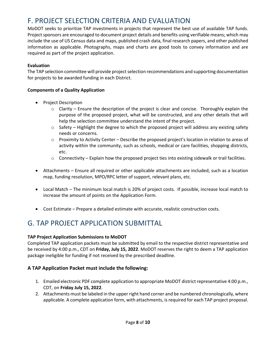## F. PROJECT SELECTION CRITERIA AND EVALUATION

MoDOT seeks to prioritize TAP investments in projects that represent the best use of available TAP funds. Project sponsors are encouraged to document project details and benefits using verifiable means; which may include the use of US Census data and maps, published crash data, final research papers, and other published information as applicable. Photographs, maps and charts are good tools to convey information and are required as part of the project application.

#### **Evaluation**

The TAP selection committee will provide project selection recommendations and supporting documentation for projects to be awarded funding in each District.

#### **Components of a Quality Application**

- Project Description
	- $\circ$  Clarity Ensure the description of the project is clear and concise. Thoroughly explain the purpose of the proposed project, what will be constructed, and any other details that will help the selection committee understand the intent of the project.
	- $\circ$  Safety Highlight the degree to which the proposed project will address any existing safety needs or concerns.
	- o Proximity to Activity Center Describe the proposed project's location in relation to areas of activity within the community, such as schools, medical or care facilities, shopping districts, etc.
	- $\circ$  Connectivity Explain how the proposed project ties into existing sidewalk or trail facilities.
- Attachments Ensure all required or other applicable attachments are included, such as a location map, funding resolution, MPO/RPC letter of support, relevant plans, etc.
- Local Match The minimum local match is 20% of project costs. If possible, increase local match to increase the amount of points on the Application Form.
- Cost Estimate Prepare a detailed estimate with accurate, realistic construction costs.

## G. TAP PROJECT APPLICATION SUBMITTAL

#### **TAP Project Application Submissions to MoDOT**

Completed TAP application packets must be submitted by email to the respective district representative and be received by 4:00 p.m., CDT on **Friday, July 15, 2022**. MoDOT reserves the right to deem a TAP application package ineligible for funding if not received by the prescribed deadline.

#### **A TAP Application Packet must include the following:**

- 1. Emailed electronic PDF complete application to appropriate MoDOT district representative 4:00 p.m., CDT, on **Friday July 15, 2022**.
- 2. Attachments must be labeled in the upper right hand corner and be numbered chronologically, where applicable. A complete application form, with attachments, is required for each TAP project proposal.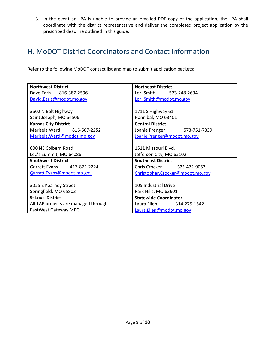3. In the event an LPA is unable to provide an emailed PDF copy of the application; the LPA shall coordinate with the district representative and deliver the completed project application by the prescribed deadline outlined in this guide.

## H. MoDOT District Coordinators and Contact information

Refer to the following MoDOT contact list and map to submit application packets:

| <b>Northwest District</b>            | <b>Northeast District</b>        |  |
|--------------------------------------|----------------------------------|--|
| Dave Earls 816-387-2596              | Lori Smith<br>573-248-2634       |  |
| David.Earls@modot.mo.gov             | Lori.Smith@modot.mo.gov          |  |
|                                      |                                  |  |
| 3602 N Belt Highway                  | 1711 S Highway 61                |  |
| Saint Joseph, MO 64506               | Hannibal, MO 63401               |  |
| <b>Kansas City District</b>          | <b>Central District</b>          |  |
| Marisela Ward 816-607-2252           | 573-751-7339<br>Joanie Prenger   |  |
| Marisela. Ward@modot.mo.gov          | Joanie.Prenger@modot.mo.gov      |  |
|                                      |                                  |  |
| 600 NE Colbern Road                  | 1511 Missouri Blvd.              |  |
| Lee's Summit, MO 64086               | Jefferson City, MO 65102         |  |
| <b>Southwest District</b>            | <b>Southeast District</b>        |  |
| Garrett Evans<br>417-872-2224        | Chris Crocker 573-472-9053       |  |
| Garrett.Evans@modot.mo.gov           | Christopher.Crocker@modot.mo.gov |  |
|                                      |                                  |  |
| 3025 E Kearney Street                | 105 Industrial Drive             |  |
| Springfield, MO 65803                | Park Hills, MO 63601             |  |
| <b>St Louis District</b>             | <b>Statewide Coordinator</b>     |  |
| All TAP projects are managed through | Laura Ellen 314-275-1542         |  |
| EastWest Gateway MPO                 | Laura.Ellen@modot.mo.gov         |  |